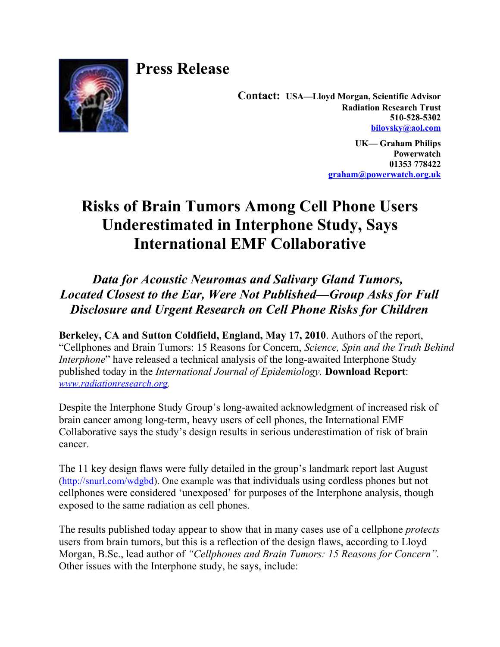

**Press Release**

**Contact: USA—Lloyd Morgan, Scientific Advisor Radiation Research Trust 510-528-5302 [bilovsky@aol.com](mailto:bilovsky@aol.com)**

> **UK— Graham Philips Powerwatch 01353 778422 [graham@powerwatch.org.uk](mailto:graham@powerwatch.org.uk)**

## **Risks of Brain Tumors Among Cell Phone Users Underestimated in Interphone Study, Says International EMF Collaborative**

*Data for Acoustic Neuromas and Salivary Gland Tumors, Located Closest to the Ear, Were Not Published—Group Asks for Full Disclosure and Urgent Research on Cell Phone Risks for Children*

**Berkeley, CA and Sutton Coldfield, England, May 17, 2010**. Authors of the report, "Cellphones and Brain Tumors: 15 Reasons for Concern, *Science, Spin and the Truth Behind Interphone*" have released a technical analysis of the long-awaited Interphone Study published today in the *International Journal of Epidemiology.* **Download Report**: *[www.radiationresearch.org.](http://www.radiationresearch.org/)*

Despite the Interphone Study Group's long-awaited acknowledgment of increased risk of brain cancer among long-term, heavy users of cell phones, the International EMF Collaborative says the study's design results in serious underestimation of risk of brain cancer.

The 11 key design flaws were fully detailed in the group's landmark report last August [\(http://snurl.com/wdgbd\)](http://snurl.com/wdgbd). One example was that individuals using cordless phones but not cellphones were considered 'unexposed' for purposes of the Interphone analysis, though exposed to the same radiation as cell phones.

The results published today appear to show that in many cases use of a cellphone *protects* users from brain tumors, but this is a reflection of the design flaws, according to Lloyd Morgan, B.Sc., lead author of *"Cellphones and Brain Tumors: 15 Reasons for Concern".* Other issues with the Interphone study, he says, include: